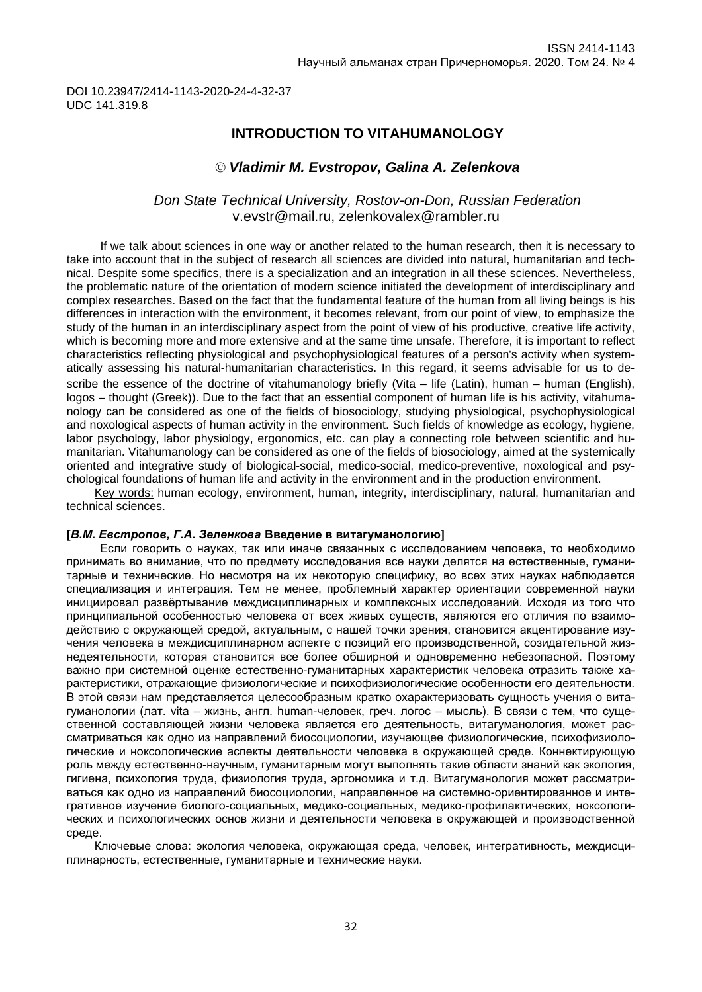DOI 10.23947/2414-1143-2020-24-4-32-37 UDC 141.319.8

## **INTRODUCTION TO VITAHUMANOLOGY**

## *Vladimir M. Evstropov, Galina A. Zelenkova*

## *Don State Technical University, Rostov-on-Don, Russian Federation* [v.evstr@mail.ru,](mailto:v.evstr@mail.ru) zelenkovalex@rambler.ru

If we talk about sciences in one way or another related to the human research, then it is necessary to take into account that in the subject of research all sciences are divided into natural, humanitarian and technical. Despite some specifics, there is a specialization and an integration in all these sciences. Nevertheless, the problematic nature of the orientation of modern science initiated the development of interdisciplinary and complex researches. Based on the fact that the fundamental feature of the human from all living beings is his differences in interaction with the environment, it becomes relevant, from our point of view, to emphasize the study of the human in an interdisciplinary aspect from the point of view of his productive, creative life activity, which is becoming more and more extensive and at the same time unsafe. Therefore, it is important to reflect characteristics reflecting physiological and psychophysiological features of a person's activity when systematically assessing his natural-humanitarian characteristics. In this regard, it seems advisable for us to describe the essence of the doctrine of vitahumanology briefly (Vita – life (Latin), human – human (English), logos – thought (Greek)). Due to the fact that an essential component of human life is his activity, vitahumanology can be considered as one of the fields of biosociology, studying physiological, psychophysiological and noxological aspects of human activity in the environment. Such fields of knowledge as ecology, hygiene, labor psychology, labor physiology, ergonomics, etc. can play a connecting role between scientific and humanitarian. Vitahumanology can be considered as one of the fields of biosociology, aimed at the systemically oriented and integrative study of biological-social, medico-social, medico-preventive, noxological and psychological foundations of human life and activity in the environment and in the production environment.

Key words: human ecology, environment, human, integrity, interdisciplinary, natural, humanitarian and technical sciences.

#### **[***В.М. Евстропов, Г.А. Зеленкова* **Введение в витагуманологию]**

Если говорить о науках, так или иначе связанных с исследованием человека, то необходимо принимать во внимание, что по предмету исследования все науки делятся на естественные, гуманитарные и технические. Но несмотря на их некоторую специфику, во всех этих науках наблюдается специализация и интеграция. Тем не менее, проблемный характер ориентации современной науки инициировал развёртывание междисциплинарных и комплексных исследований. Исходя из того что принципиальной особенностью человека от всех живых существ, являются его отличия по взаимодействию с окружающей средой, актуальным, с нашей точки зрения, становится акцентирование изучения человека в междисциплинарном аспекте с позиций его производственной, созидательной жизнедеятельности, которая становится все более обширной и одновременно небезопасной. Поэтому важно при системной оценке естественно-гуманитарных характеристик человека отразить также характеристики, отражающие физиологические и психофизиологические особенности его деятельности. В этой связи нам представляется целесообразным кратко охарактеризовать сущность учения о витагуманологии (лат. vita – жизнь, англ. human-человек, греч. логос – мысль). В связи с тем, что существенной составляющей жизни человека является его деятельность, витагуманология, может рассматриваться как одно из направлений биосоциологии, изучающее физиологические, психофизиологические и ноксологические аспекты деятельности человека в окружающей среде. Коннектирующую роль между естественно-научным, гуманитарным могут выполнять такие области знаний как экология, гигиена, психология труда, физиология труда, эргономика и т.д. Витагуманология может рассматриваться как одно из направлений биосоциологии, направленное на системно-ориентированное и интегративное изучение биолого-социальных, медико-социальных, медико-профилактических, ноксологических и психологических основ жизни и деятельности человека в окружающей и производственной среде.

Ключевые слова: экология человека, окружающая среда, человек, интегративность, междисциплинарность, естественные, гуманитарные и технические науки.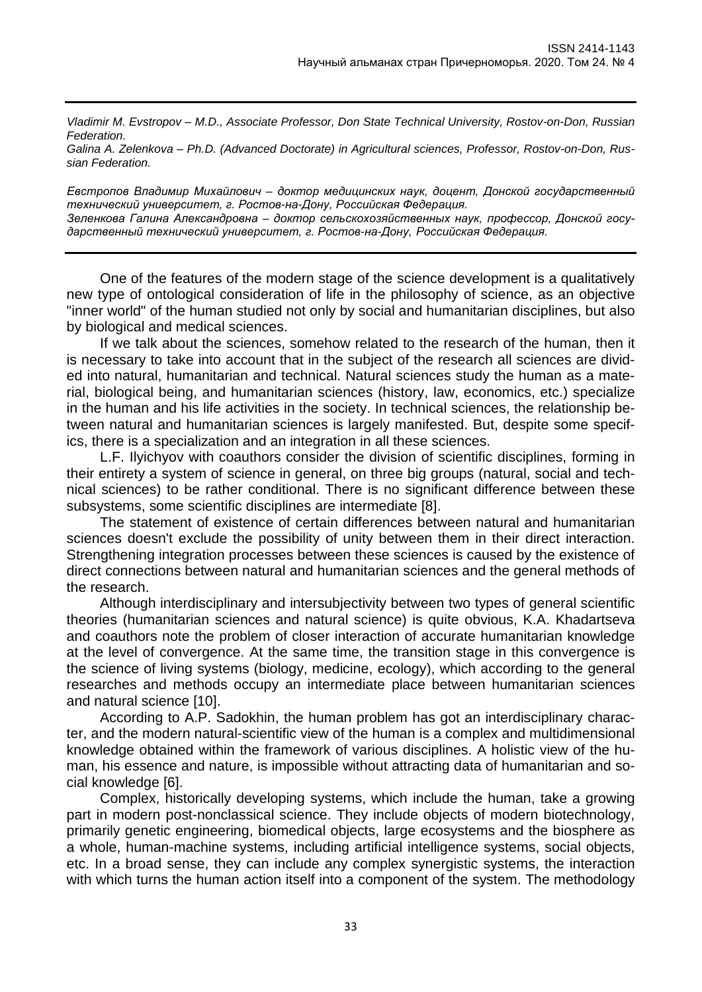*Vladimir M. Evstropov – M.D., Associate Professor, Don State Technical University, Rostov-on-Don, Russian Federation.*

*Galina A. Zelenkova – Ph.D. (Advanced Doctorate) in Agricultural sciences, Professor, Rostov-on-Don, Russian Federation.*

*Евстропов Владимир Михайлович – доктор медицинских наук, доцент, Донской государственный технический университет, г. Ростов-на-Дону, Российская Федерация. Зеленкова Галина Александровна – доктор сельскохозяйственных наук, профессор, Донской государственный технический университет, г. Ростов-на-Дону, Российская Федерация.*

One of the features of the modern stage of the science development is a qualitatively new type of ontological consideration of life in the philosophy of science, as an objective "inner world" of the human studied not only by social and humanitarian disciplines, but also by biological and medical sciences.

If we talk about the sciences, somehow related to the research of the human, then it is necessary to take into account that in the subject of the research all sciences are divided into natural, humanitarian and technical. Natural sciences study the human as a material, biological being, and humanitarian sciences (history, law, economics, etc.) specialize in the human and his life activities in the society. In technical sciences, the relationship between natural and humanitarian sciences is largely manifested. But, despite some specifics, there is a specialization and an integration in all these sciences.

L.F. Ilyichyov with coauthors consider the division of scientific disciplines, forming in their entirety a system of science in general, on three big groups (natural, social and technical sciences) to be rather conditional. There is no significant difference between these subsystems, some scientific disciplines are intermediate [8].

The statement of existence of certain differences between natural and humanitarian sciences doesn't exclude the possibility of unity between them in their direct interaction. Strengthening integration processes between these sciences is caused by the existence of direct connections between natural and humanitarian sciences and the general methods of the research.

Although interdisciplinary and intersubjectivity between two types of general scientific theories (humanitarian sciences and natural science) is quite obvious, K.A. Khadartseva and coauthors note the problem of closer interaction of accurate humanitarian knowledge at the level of convergence. At the same time, the transition stage in this convergence is the science of living systems (biology, medicine, ecology), which according to the general researches and methods occupy an intermediate place between humanitarian sciences and natural science [10].

According to A.P. Sadokhin, the human problem has got an interdisciplinary character, and the modern natural-scientific view of the human is a complex and multidimensional knowledge obtained within the framework of various disciplines. A holistic view of the human, his essence and nature, is impossible without attracting data of humanitarian and social knowledge [6].

Complex, historically developing systems, which include the human, take a growing part in modern post-nonclassical science. They include objects of modern biotechnology, primarily genetic engineering, biomedical objects, large ecosystems and the biosphere as a whole, human-machine systems, including artificial intelligence systems, social objects, etc. In a broad sense, they can include any complex synergistic systems, the interaction with which turns the human action itself into a component of the system. The methodology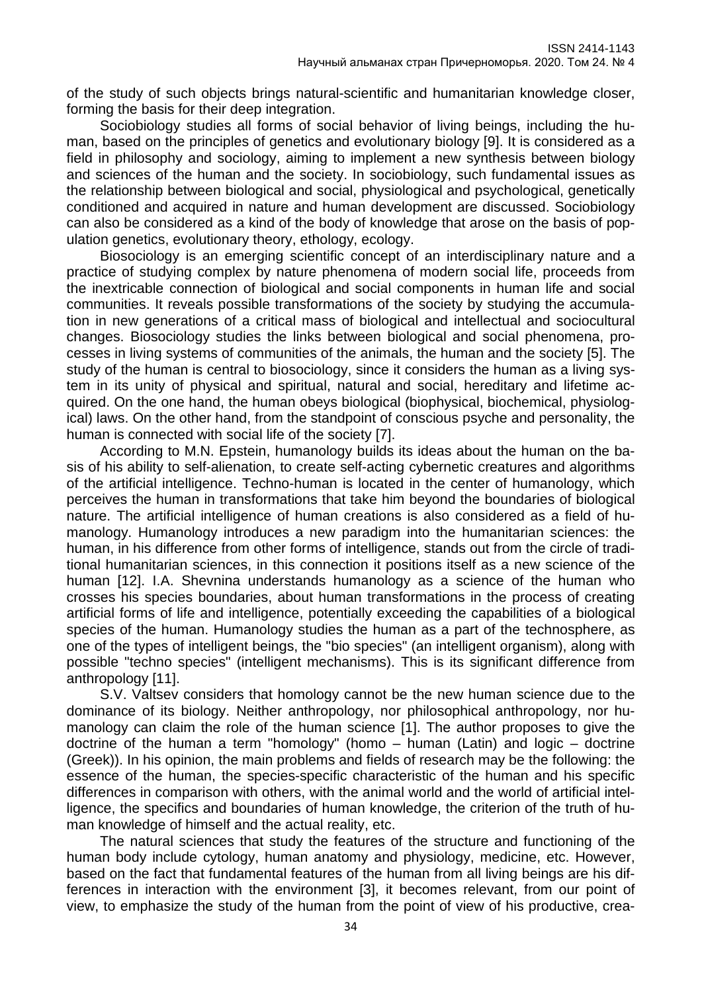of the study of such objects brings natural-scientific and humanitarian knowledge closer, forming the basis for their deep integration.

Sociobiology studies all forms of social behavior of living beings, including the human, based on the principles of genetics and evolutionary biology [9]. It is considered as a field in philosophy and sociology, aiming to implement a new synthesis between biology and sciences of the human and the society. In sociobiology, such fundamental issues as the relationship between biological and social, physiological and psychological, genetically conditioned and acquired in nature and human development are discussed. Sociobiology can also be considered as a kind of the body of knowledge that arose on the basis of population genetics, evolutionary theory, ethology, ecology.

Biosociology is an emerging scientific concept of an interdisciplinary nature and a practice of studying complex by nature phenomena of modern social life, proceeds from the inextricable connection of biological and social components in human life and social communities. It reveals possible transformations of the society by studying the accumulation in new generations of a critical mass of biological and intellectual and sociocultural changes. Biosociology studies the links between biological and social phenomena, processes in living systems of communities of the animals, the human and the society [5]. The study of the human is central to biosociology, since it considers the human as a living system in its unity of physical and spiritual, natural and social, hereditary and lifetime acquired. On the one hand, the human obeys biological (biophysical, biochemical, physiological) laws. On the other hand, from the standpoint of conscious psyche and personality, the human is connected with social life of the society [7].

According to M.N. Epstein, humanology builds its ideas about the human on the basis of his ability to self-alienation, to create self-acting cybernetic creatures and algorithms of the artificial intelligence. Techno-human is located in the center of humanology, which perceives the human in transformations that take him beyond the boundaries of biological nature. The artificial intelligence of human creations is also considered as a field of humanology. Humanology introduces a new paradigm into the humanitarian sciences: the human, in his difference from other forms of intelligence, stands out from the circle of traditional humanitarian sciences, in this connection it positions itself as a new science of the human [12]. I.A. Shevnina understands humanology as a science of the human who crosses his species boundaries, about human transformations in the process of creating artificial forms of life and intelligence, potentially exceeding the capabilities of a biological species of the human. Humanology studies the human as a part of the technosphere, as one of the types of intelligent beings, the "bio species" (an intelligent organism), along with possible "techno species" (intelligent mechanisms). This is its significant difference from anthropology [11].

S.V. Valtsev considers that homology cannot be the new human science due to the dominance of its biology. Neither anthropology, nor philosophical anthropology, nor humanology can claim the role of the human science [1]. The author proposes to give the doctrine of the human a term "homology" (homo – human (Latin) and logic – doctrine (Greek)). In his opinion, the main problems and fields of research may be the following: the essence of the human, the species-specific characteristic of the human and his specific differences in comparison with others, with the animal world and the world of artificial intelligence, the specifics and boundaries of human knowledge, the criterion of the truth of human knowledge of himself and the actual reality, etc.

The natural sciences that study the features of the structure and functioning of the human body include cytology, human anatomy and physiology, medicine, etc. However, based on the fact that fundamental features of the human from all living beings are his differences in interaction with the environment [3], it becomes relevant, from our point of view, to emphasize the study of the human from the point of view of his productive, crea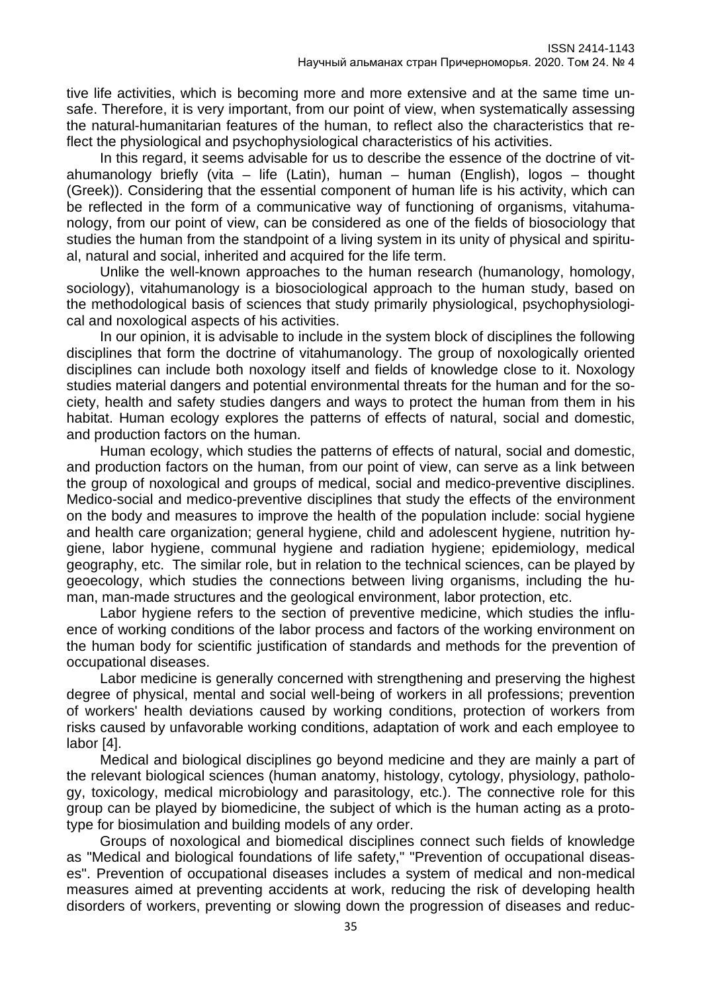tive life activities, which is becoming more and more extensive and at the same time unsafe. Therefore, it is very important, from our point of view, when systematically assessing the natural-humanitarian features of the human, to reflect also the characteristics that reflect the physiological and psychophysiological characteristics of his activities.

In this regard, it seems advisable for us to describe the essence of the doctrine of vitahumanology briefly (vita – life (Latin), human – human (English), logos – thought (Greek)). Considering that the essential component of human life is his activity, which can be reflected in the form of a communicative way of functioning of organisms, vitahumanology, from our point of view, can be considered as one of the fields of biosociology that studies the human from the standpoint of a living system in its unity of physical and spiritual, natural and social, inherited and acquired for the life term.

Unlike the well-known approaches to the human research (humanology, homology, sociology), vitahumanology is a biosociological approach to the human study, based on the methodological basis of sciences that study primarily physiological, psychophysiological and noxological aspects of his activities.

In our opinion, it is advisable to include in the system block of disciplines the following disciplines that form the doctrine of vitahumanology. The group of noxologically oriented disciplines can include both noxology itself and fields of knowledge close to it. Noxology studies material dangers and potential environmental threats for the human and for the society, health and safety studies dangers and ways to protect the human from them in his habitat. Human ecology explores the patterns of effects of natural, social and domestic, and production factors on the human.

Human ecology, which studies the patterns of effects of natural, social and domestic, and production factors on the human, from our point of view, can serve as a link between the group of noxological and groups of medical, social and medico-preventive disciplines. Medico-social and medico-preventive disciplines that study the effects of the environment on the body and measures to improve the health of the population include: social hygiene and health care organization; general hygiene, child and adolescent hygiene, nutrition hygiene, labor hygiene, communal hygiene and radiation hygiene; epidemiology, medical geography, etc. The similar role, but in relation to the technical sciences, can be played by geoecology, which studies the connections between living organisms, including the human, man-made structures and the geological environment, labor protection, etc.

Labor hygiene refers to the section of preventive medicine, which studies the influence of working conditions of the labor process and factors of the working environment on the human body for scientific justification of standards and methods for the prevention of occupational diseases.

Labor medicine is generally concerned with strengthening and preserving the highest degree of physical, mental and social well-being of workers in all professions; prevention of workers' health deviations caused by working conditions, protection of workers from risks caused by unfavorable working conditions, adaptation of work and each employee to labor [4].

Medical and biological disciplines go beyond medicine and they are mainly a part of the relevant biological sciences (human anatomy, histology, cytology, physiology, pathology, toxicology, medical microbiology and parasitology, etc.). The connective role for this group can be played by biomedicine, the subject of which is the human acting as a prototype for biosimulation and building models of any order.

Groups of noxological and biomedical disciplines connect such fields of knowledge as "Medical and biological foundations of life safety," "Prevention of occupational diseases". Prevention of occupational diseases includes a system of medical and non-medical measures aimed at preventing accidents at work, reducing the risk of developing health disorders of workers, preventing or slowing down the progression of diseases and reduc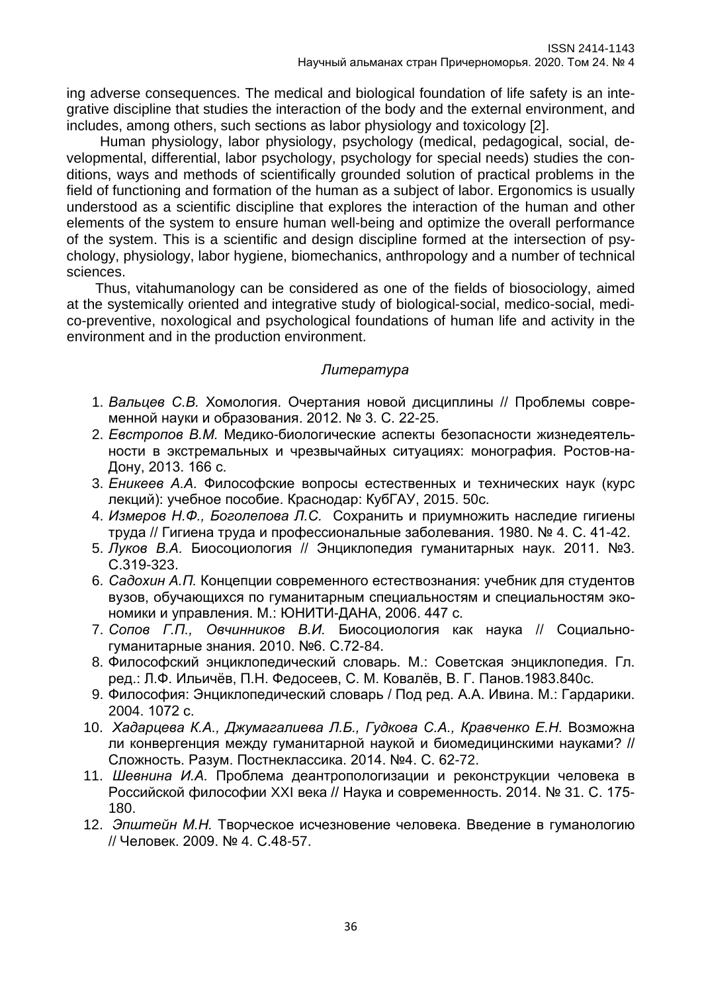ing adverse consequences. The medical and biological foundation of life safety is an integrative discipline that studies the interaction of the body and the external environment, and includes, among others, such sections as labor physiology and toxicology [2].

Human physiology, labor physiology, psychology (medical, pedagogical, social, developmental, differential, labor psychology, psychology for special needs) studies the conditions, ways and methods of scientifically grounded solution of practical problems in the field of functioning and formation of the human as a subject of labor. Ergonomics is usually understood as a scientific discipline that explores the interaction of the human and other elements of the system to ensure human well-being and optimize the overall performance of the system. This is a scientific and design discipline formed at the intersection of psychology, physiology, labor hygiene, biomechanics, anthropology and a number of technical sciences.

Thus, vitahumanology can be considered as one of the fields of biosociology, aimed at the systemically oriented and integrative study of biological-social, medico-social, medico-preventive, noxological and psychological foundations of human life and activity in the environment and in the production environment.

## *Литература*

- 1. *Вальцев С.В.* Хомология. Очертания новой дисциплины // Проблемы современной науки и образования. 2012. № 3. С. 22-25.
- 2. *Евстропов В.М.* Медико-биологические аспекты безопасности жизнедеятельности в экстремальных и чрезвычайных ситуациях: монография. Ростов-на-Дону, 2013. 166 с.
- 3. *Еникеев А.А.* Философские вопросы естественных и технических наук (курс лекций): учебное пособие. Краснодар: КубГАУ, 2015. 50с.
- 4. *Измеров Н.Ф., Боголепова Л.С.* Сохранить и приумножить наследие гигиены труда // Гигиена труда и профессиональные заболевания. 1980. № 4. С. 41-42.
- 5. *Луков В.А.* Биосоциология // Энциклопедия гуманитарных наук. 2011. №3. С.319-323.
- 6. *Садохин А.П.* Концепции современного естествознания: учебник для студентов вузов, обучающихся по гуманитарным специальностям и специальностям экономики и управления. М.: ЮНИТИ-ДАНА, 2006. 447 с.
- 7. *Сопов Г.П., Овчинников В.И.* Биосоциология как наука // Социальногуманитарные знания. 2010. №6. С.72-84.
- 8. Философский энциклопедический словарь. М.: Советская энциклопедия. Гл. ред.: Л.Ф. Ильичёв, П.Н. Федосеев, С. М. Ковалёв, В. Г. Панов.1983.840с.
- 9. Философия: Энциклопедический словарь / Под ред. А.А. Ивина. М.: Гардарики. 2004. 1072 с.
- 10. *Хадарцева К.А., Джумагалиева Л.Б., Гудкова С.А., Кравченко Е.Н.* Возможна ли конвергенция между гуманитарной наукой и биомедицинскими науками? // Сложность. Разум. Постнеклассика. 2014. №4. С. 62-72.
- 11. *Шевнина И.А.* Проблема деантропологизации и реконструкции человека в Российской философии XXI века // Наука и современность. 2014. № 31. С. 175- 180.
- 12. *Эпштейн М.Н.* Творческое исчезновение человека. Введение в гуманологию // Человек. 2009. № 4. С.48-57.